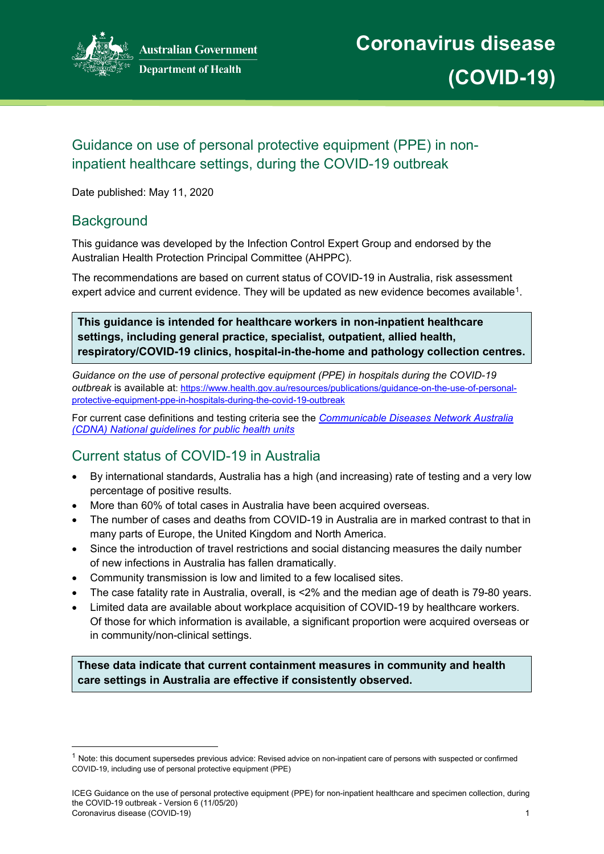

# Guidance on use of personal protective equipment (PPE) in noninpatient healthcare settings, during the COVID-19 outbreak

Date published: May 11, 2020

## **Background**

This guidance was developed by the Infection Control Expert Group and endorsed by the Australian Health Protection Principal Committee (AHPPC).

The recommendations are based on current status of COVID-19 in Australia, risk assessment expert advice and current evidence. They will be updated as new evidence becomes available<sup>[1](#page-0-0)</sup>.

**This guidance is intended for healthcare workers in non-inpatient healthcare settings, including general practice, specialist, outpatient, allied health, respiratory/COVID-19 clinics, hospital-in-the-home and pathology collection centres.**

*Guidance on the use of personal protective equipment (PPE) in hospitals during the COVID-19 outbreak* is available at: [https://www.health.gov.au/resources/publications/guidance-on-the-use-of-personal](https://www.health.gov.au/resources/publications/guidance-on-the-use-of-personal-protective-equipment-ppe-in-hospitals-during-the-covid-19-outbreak)[protective-equipment-ppe-in-hospitals-during-the-covid-19-outbreak](https://www.health.gov.au/resources/publications/guidance-on-the-use-of-personal-protective-equipment-ppe-in-hospitals-during-the-covid-19-outbreak)

For current case definitions and testing criteria see the *[Communicable Diseases Network Australia](https://www1.health.gov.au/internet/main/publishing.nsf/Content/cdna-song-novel-coronavirus.htm)  [\(CDNA\) National guidelines for public health units](https://www1.health.gov.au/internet/main/publishing.nsf/Content/cdna-song-novel-coronavirus.htm)*

# Current status of COVID-19 in Australia

- By international standards, Australia has a high (and increasing) rate of testing and a very low percentage of positive results.
- More than 60% of total cases in Australia have been acquired overseas.
- The number of cases and deaths from COVID-19 in Australia are in marked contrast to that in many parts of Europe, the United Kingdom and North America.
- Since the introduction of travel restrictions and social distancing measures the daily number of new infections in Australia has fallen dramatically.
- Community transmission is low and limited to a few localised sites.
- The case fatality rate in Australia, overall, is <2% and the median age of death is 79-80 years.
- Limited data are available about workplace acquisition of COVID-19 by healthcare workers. Of those for which information is available, a significant proportion were acquired overseas or in community/non-clinical settings.

**These data indicate that current containment measures in community and health care settings in Australia are effective if consistently observed.**

<span id="page-0-0"></span> $1$  Note: this document supersedes previous advice: Revised advice on non-inpatient care of persons with suspected or confirmed COVID-19, including use of personal protective equipment (PPE)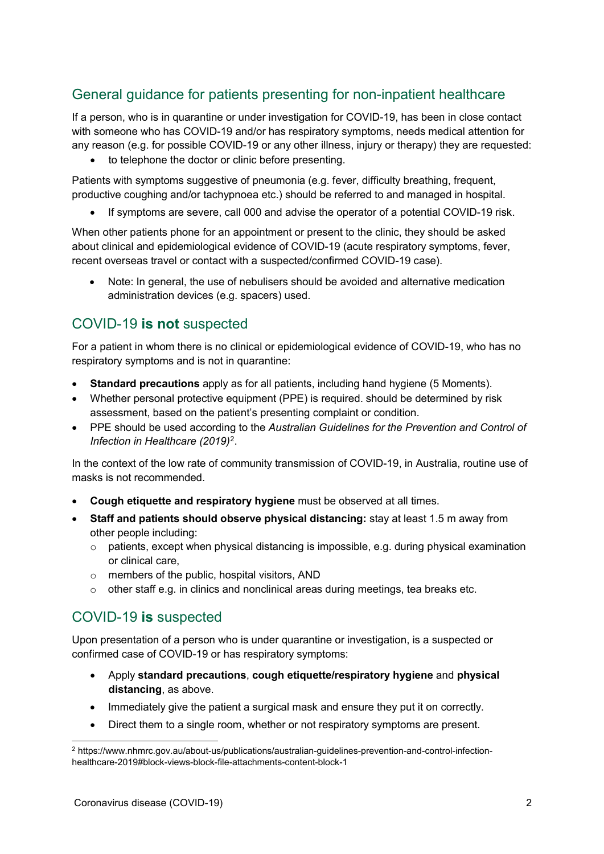# General guidance for patients presenting for non-inpatient healthcare

If a person, who is in quarantine or under investigation for COVID-19, has been in close contact with someone who has COVID-19 and/or has respiratory symptoms, needs medical attention for any reason (e.g. for possible COVID-19 or any other illness, injury or therapy) they are requested:

• to telephone the doctor or clinic before presenting.

Patients with symptoms suggestive of pneumonia (e.g. fever, difficulty breathing, frequent, productive coughing and/or tachypnoea etc.) should be referred to and managed in hospital.

• If symptoms are severe, call 000 and advise the operator of a potential COVID-19 risk.

When other patients phone for an appointment or present to the clinic, they should be asked about clinical and epidemiological evidence of COVID-19 (acute respiratory symptoms, fever, recent overseas travel or contact with a suspected/confirmed COVID-19 case).

• Note: In general, the use of nebulisers should be avoided and alternative medication administration devices (e.g. spacers) used.

## COVID-19 **is not** suspected

For a patient in whom there is no clinical or epidemiological evidence of COVID-19, who has no respiratory symptoms and is not in quarantine:

- **Standard precautions** apply as for all patients, including hand hygiene (5 Moments).
- Whether personal protective equipment (PPE) is required. should be determined by risk assessment, based on the patient's presenting complaint or condition.
- PPE should be used according to the *Australian Guidelines for the Prevention and Control of Infection in Healthcare (2019)*[2](#page-1-0).

In the context of the low rate of community transmission of COVID-19, in Australia, routine use of masks is not recommended.

- **Cough etiquette and respiratory hygiene** must be observed at all times.
- **Staff and patients should observe physical distancing:** stay at least 1.5 m away from other people including:
	- $\circ$  patients, except when physical distancing is impossible, e.g. during physical examination or clinical care,
	- $\circ$  members of the public, hospital visitors, AND
	- $\circ$  other staff e.g. in clinics and nonclinical areas during meetings, tea breaks etc.

## COVID-19 **is** suspected

Upon presentation of a person who is under quarantine or investigation, is a suspected or confirmed case of COVID-19 or has respiratory symptoms:

- Apply **standard precautions**, **cough etiquette/respiratory hygiene** and **physical distancing**, as above.
- Immediately give the patient a surgical mask and ensure they put it on correctly.
- Direct them to a single room, whether or not respiratory symptoms are present.

<span id="page-1-0"></span> <sup>2</sup> https://www.nhmrc.gov.au/about-us/publications/australian-guidelines-prevention-and-control-infectionhealthcare-2019#block-views-block-file-attachments-content-block-1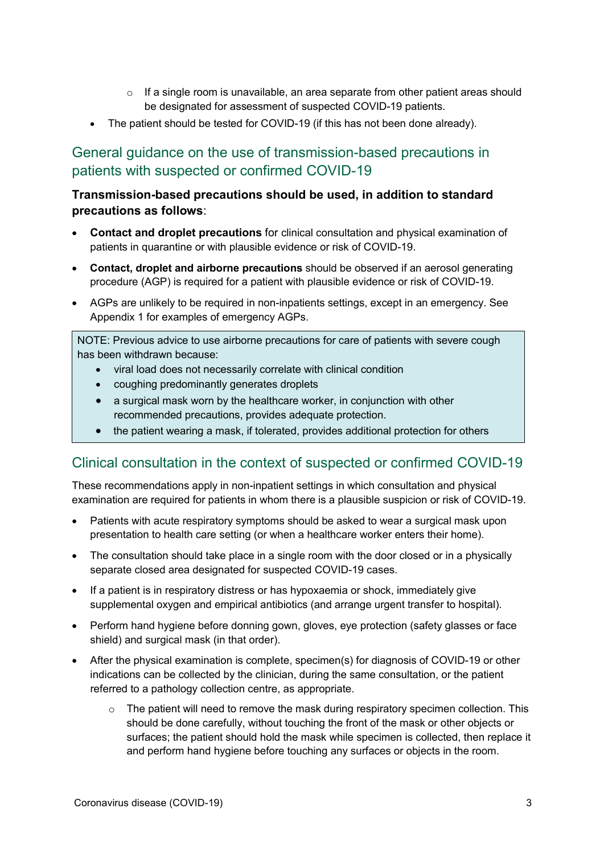- $\circ$  If a single room is unavailable, an area separate from other patient areas should be designated for assessment of suspected COVID-19 patients.
- The patient should be tested for COVID-19 (if this has not been done already).

# General guidance on the use of transmission-based precautions in patients with suspected or confirmed COVID-19

## **Transmission-based precautions should be used, in addition to standard precautions as follows**:

- **Contact and droplet precautions** for clinical consultation and physical examination of patients in quarantine or with plausible evidence or risk of COVID-19.
- **Contact, droplet and airborne precautions** should be observed if an aerosol generating procedure (AGP) is required for a patient with plausible evidence or risk of COVID-19.
- AGPs are unlikely to be required in non-inpatients settings, except in an emergency. See Appendix 1 for examples of emergency AGPs.

NOTE: Previous advice to use airborne precautions for care of patients with severe cough has been withdrawn because:

- viral load does not necessarily correlate with clinical condition
- coughing predominantly generates droplets
- a surgical mask worn by the healthcare worker, in conjunction with other recommended precautions, provides adequate protection.
- the patient wearing a mask, if tolerated, provides additional protection for others

## Clinical consultation in the context of suspected or confirmed COVID-19

These recommendations apply in non-inpatient settings in which consultation and physical examination are required for patients in whom there is a plausible suspicion or risk of COVID-19.

- Patients with acute respiratory symptoms should be asked to wear a surgical mask upon presentation to health care setting (or when a healthcare worker enters their home).
- The consultation should take place in a single room with the door closed or in a physically separate closed area designated for suspected COVID-19 cases.
- If a patient is in respiratory distress or has hypoxaemia or shock, immediately give supplemental oxygen and empirical antibiotics (and arrange urgent transfer to hospital).
- Perform hand hygiene before donning gown, gloves, eye protection (safety glasses or face shield) and surgical mask (in that order).
- After the physical examination is complete, specimen(s) for diagnosis of COVID-19 or other indications can be collected by the clinician, during the same consultation, or the patient referred to a pathology collection centre, as appropriate.
	- $\circ$  The patient will need to remove the mask during respiratory specimen collection. This should be done carefully, without touching the front of the mask or other objects or surfaces; the patient should hold the mask while specimen is collected, then replace it and perform hand hygiene before touching any surfaces or objects in the room.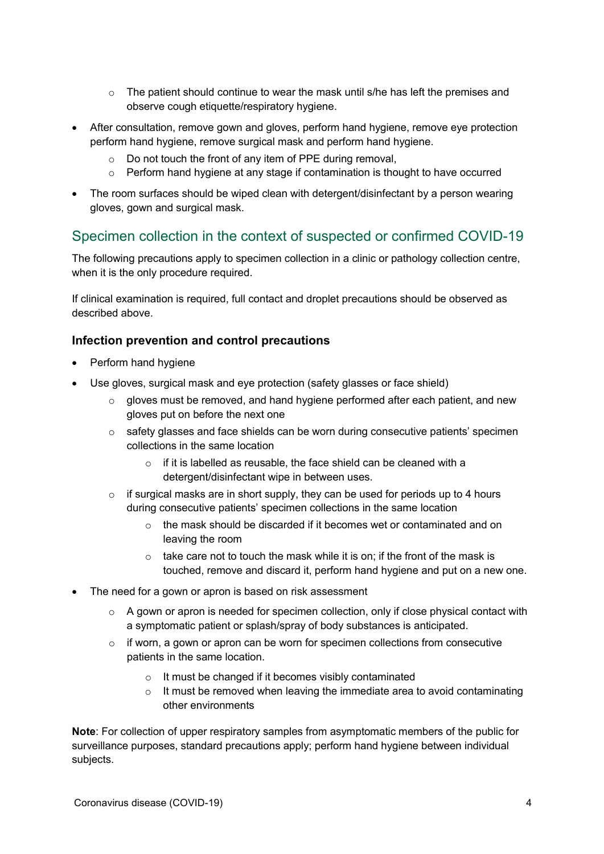- $\circ$  The patient should continue to wear the mask until s/he has left the premises and observe cough etiquette/respiratory hygiene.
- After consultation, remove gown and gloves, perform hand hygiene, remove eye protection perform hand hygiene, remove surgical mask and perform hand hygiene.
	- o Do not touch the front of any item of PPE during removal,
	- $\circ$  Perform hand hygiene at any stage if contamination is thought to have occurred
- The room surfaces should be wiped clean with detergent/disinfectant by a person wearing gloves, gown and surgical mask.

## Specimen collection in the context of suspected or confirmed COVID-19

The following precautions apply to specimen collection in a clinic or pathology collection centre, when it is the only procedure required.

If clinical examination is required, full contact and droplet precautions should be observed as described above.

## **Infection prevention and control precautions**

- Perform hand hygiene
- Use gloves, surgical mask and eye protection (safety glasses or face shield)
	- $\circ$  gloves must be removed, and hand hygiene performed after each patient, and new gloves put on before the next one
	- $\circ$  safety glasses and face shields can be worn during consecutive patients' specimen collections in the same location
		- $\circ$  if it is labelled as reusable, the face shield can be cleaned with a detergent/disinfectant wipe in between uses.
	- $\circ$  if surgical masks are in short supply, they can be used for periods up to 4 hours during consecutive patients' specimen collections in the same location
		- $\circ$  the mask should be discarded if it becomes wet or contaminated and on leaving the room
		- $\circ$  take care not to touch the mask while it is on; if the front of the mask is touched, remove and discard it, perform hand hygiene and put on a new one.
- The need for a gown or apron is based on risk assessment
	- $\circ$  A gown or apron is needed for specimen collection, only if close physical contact with a symptomatic patient or splash/spray of body substances is anticipated.
	- $\circ$  if worn, a gown or apron can be worn for specimen collections from consecutive patients in the same location.
		- o It must be changed if it becomes visibly contaminated
		- $\circ$  It must be removed when leaving the immediate area to avoid contaminating other environments

**Note**: For collection of upper respiratory samples from asymptomatic members of the public for surveillance purposes, standard precautions apply; perform hand hygiene between individual subjects.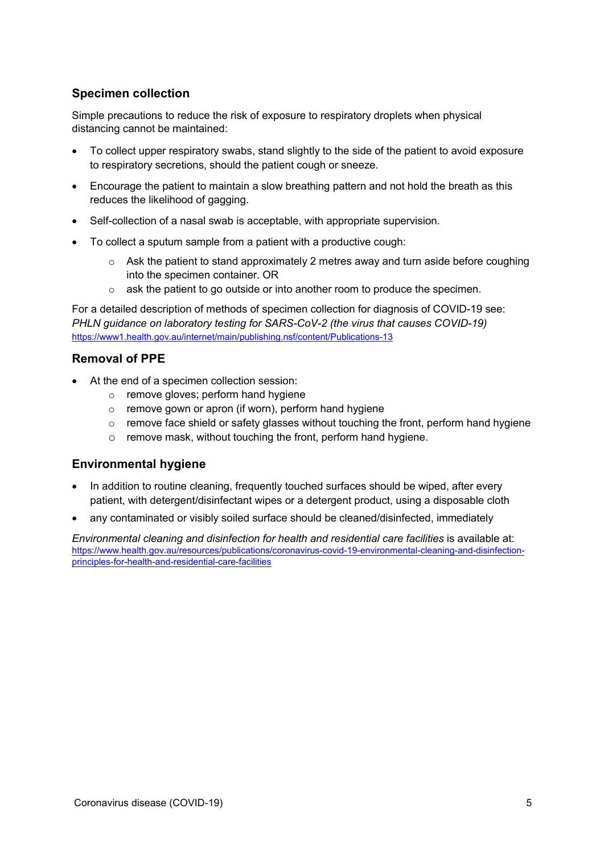## **Specimen collection**

Simple precautions to reduce the risk of exposure to respiratory droplets when physical distancing cannot be maintained:

- To collect upper respiratory swabs, stand slightly to the side of the patient to avoid exposure to respiratory secretions, should the patient cough or sneeze.
- Encourage the patient to maintain a slow breathing pattern and not hold the breath as this reduces the likelihood of gagging.
- Self-collection of a nasal swab is acceptable, with appropriate supervision.
- To collect a sputum sample from a patient with a productive cough:
	- $\circ$  Ask the patient to stand approximately 2 metres away and turn aside before coughing into the specimen container. OR
	- $\circ$  ask the patient to go outside or into another room to produce the specimen.

For a detailed description of methods of specimen collection for diagnosis of COVID-19 see: *PHLN guidance on laboratory testing for SARS-CoV-2 (the virus that causes COVID-19)* <https://www1.health.gov.au/internet/main/publishing.nsf/content/Publications-13>

#### **Removal of PPE**

- At the end of a specimen collection session:
	- o remove gloves; perform hand hygiene
	- o remove gown or apron (if worn), perform hand hygiene
	- $\circ$  remove face shield or safety glasses without touching the front, perform hand hygiene
	- o remove mask, without touching the front, perform hand hygiene.

#### **Environmental hygiene**

- In addition to routine cleaning, frequently touched surfaces should be wiped, after every patient, with detergent/disinfectant wipes or a detergent product, using a disposable cloth
- any contaminated or visibly soiled surface should be cleaned/disinfected. immediately

*Environmental cleaning and disinfection for health and residential care facilities* is available at: [https://www.health.gov.au/resources/publications/coronavirus-covid-19-environmental-cleaning-and-disinfection](https://www.health.gov.au/resources/publications/coronavirus-covid-19-environmental-cleaning-and-disinfection-principles-for-health-and-residential-care-facilities)[principles-for-health-and-residential-care-facilities](https://www.health.gov.au/resources/publications/coronavirus-covid-19-environmental-cleaning-and-disinfection-principles-for-health-and-residential-care-facilities)